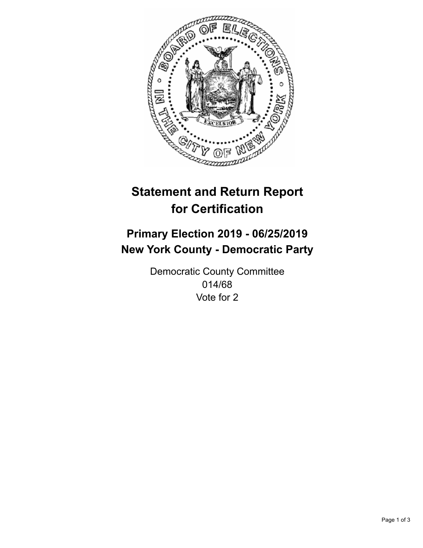

## **Statement and Return Report for Certification**

## **Primary Election 2019 - 06/25/2019 New York County - Democratic Party**

Democratic County Committee 014/68 Vote for 2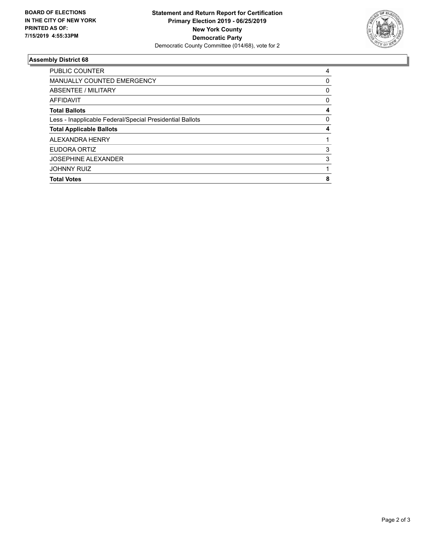

## **Assembly District 68**

| <b>Total Votes</b>                                       | 8 |
|----------------------------------------------------------|---|
| <b>JOHNNY RUIZ</b>                                       |   |
| <b>JOSEPHINE ALEXANDER</b>                               | 3 |
| EUDORA ORTIZ                                             | 3 |
| ALEXANDRA HENRY                                          |   |
| <b>Total Applicable Ballots</b>                          | 4 |
| Less - Inapplicable Federal/Special Presidential Ballots | 0 |
| <b>Total Ballots</b>                                     | 4 |
| <b>AFFIDAVIT</b>                                         | 0 |
| ABSENTEE / MILITARY                                      | 0 |
| <b>MANUALLY COUNTED EMERGENCY</b>                        | 0 |
| <b>PUBLIC COUNTER</b>                                    | 4 |